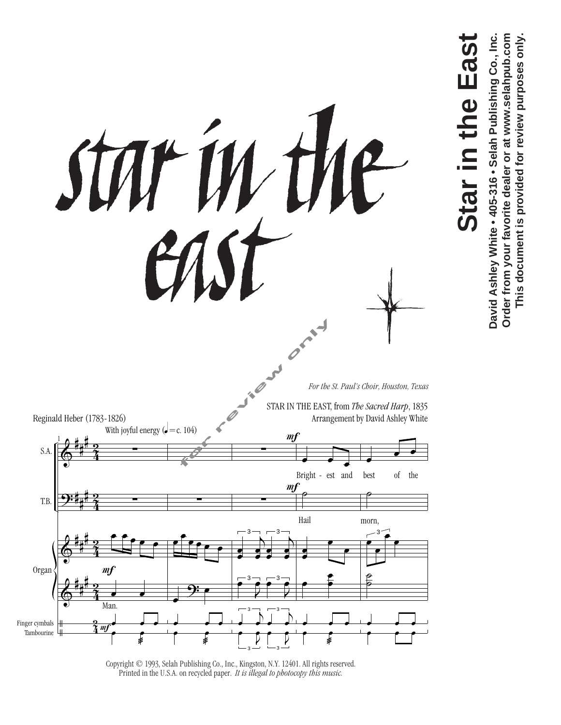

**Star in the East**

 $\overline{\mathbf{S}}$ 

**Star** 

the Eas

David Ashley White . 405-316 . Selah Publishing Co., Inc. Order from your favorite dealer or at www.selahpub.com **David Ashley White • 405-316 • Selah Publishing Co., Inc. Order from your favorite dealer or at www.selahpub.com This document is provided for review purposes only.**

This document is provided for review purposes only.

Copyright © 1993, Selah Publishing Co., Inc., Kingston, N.Y. 12401. All rights reserved. Printed in the U.S.A. on recycled paper. *It is illegal to photocopy this music.*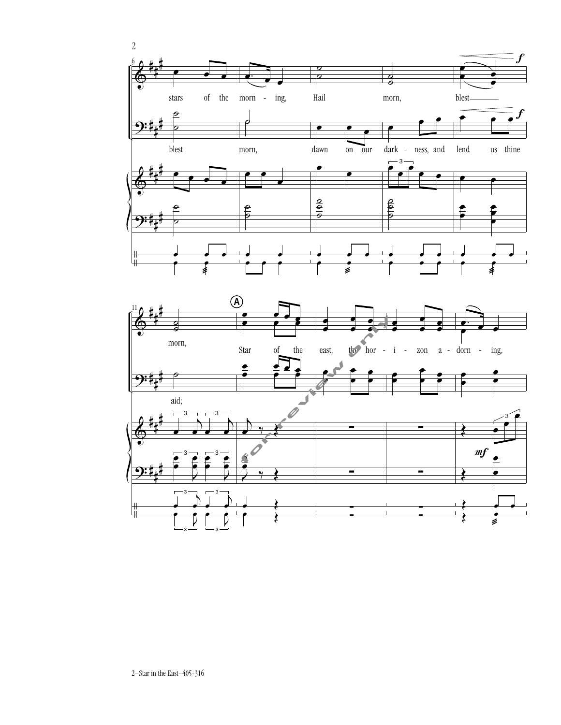

2–Star in the East–405-316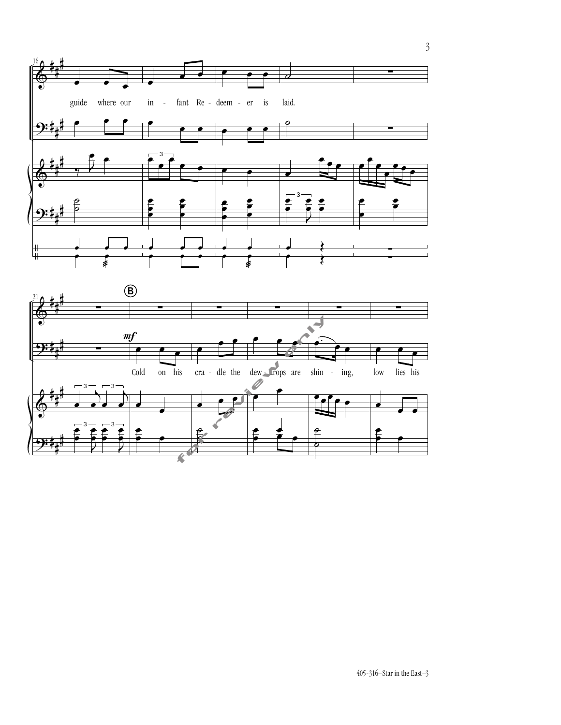

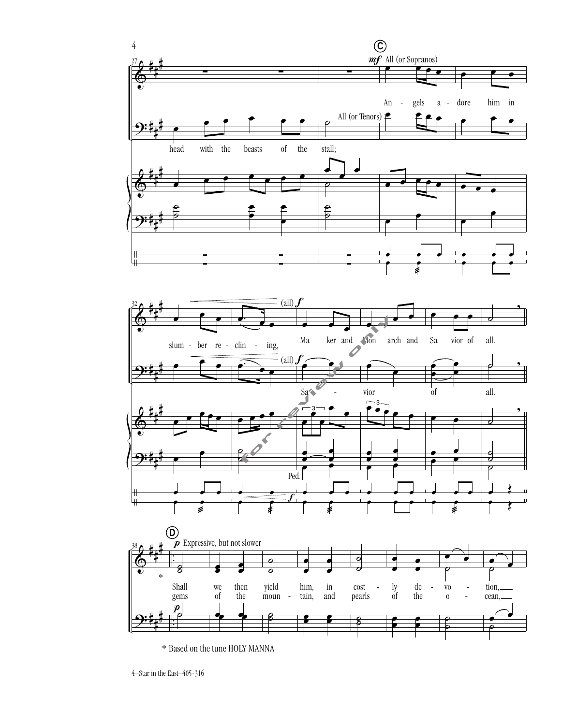

\* Based on the tune HOLY MANNA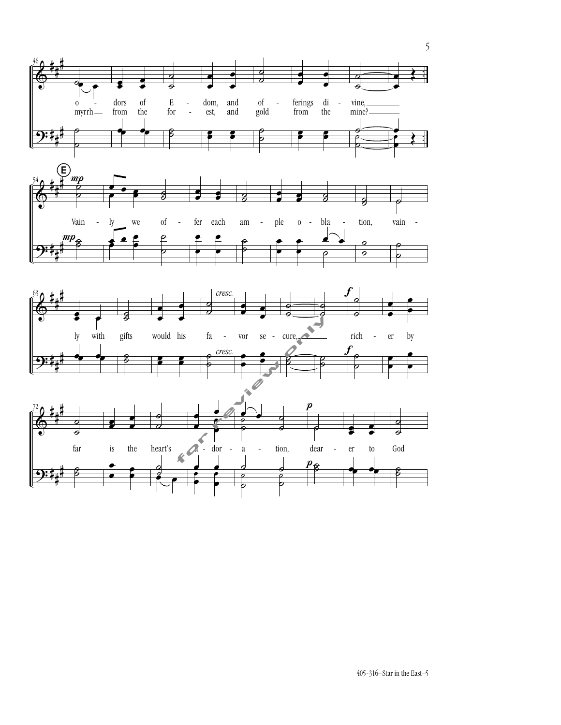







5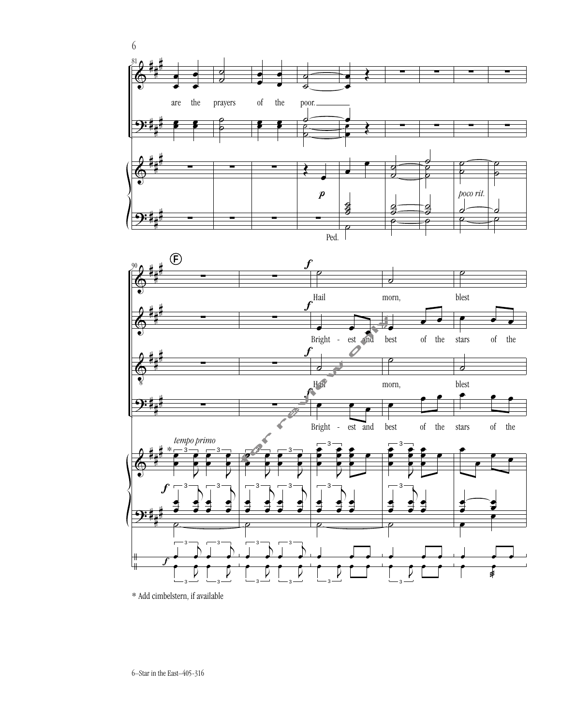

\* Add cimbelstern, if available

 $\frac{v}{\sqrt{2}}$ 

˙

3 ┙<br><del>。 。</del>

3  $\begin{bmatrix} 0 \\ -3 \end{bmatrix}$ 

 $\begin{array}{c} \hline \textbf{1} \\ \hline \textbf{2} \\ \textbf{3} \\ \textbf{4} \\ \hline \end{array}$ ┙<br><del>。 </del> ۔<br>ج

3  $L_{3}$ œ

˙

3 ┙<br><del>。 </del>

3  $\boxed{\phantom{a}}_{3}$ 

 $\begin{array}{c} \hline \big\downarrow \quad \ \ \, \big\downarrow^3 \\ \hline \bullet \quad \bullet \quad \ \ \, \end{array}$ ┙<br><del>。 </del> ۔<br>ج

3  $\begin{bmatrix} 0 \\ -3 \end{bmatrix}$  ˙

 $e$  e e e

˙

 $e$  e e e

œ

œ

œ œ <sup>œ</sup> <sup>œ</sup> æ œ

3  $\bigcup_{3}$   $\bigcup$ 

3  $\overline{V}$  $\sum_{i=1}^n \frac{1}{i}$ 

..<br>ዘ

#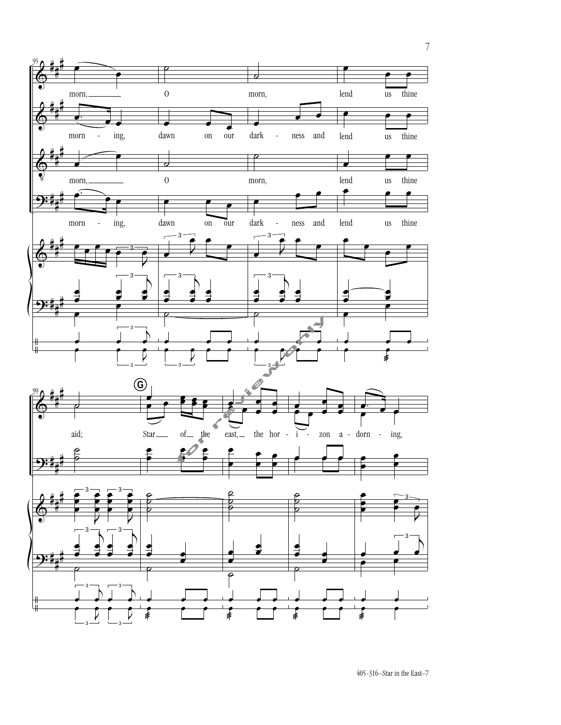

7